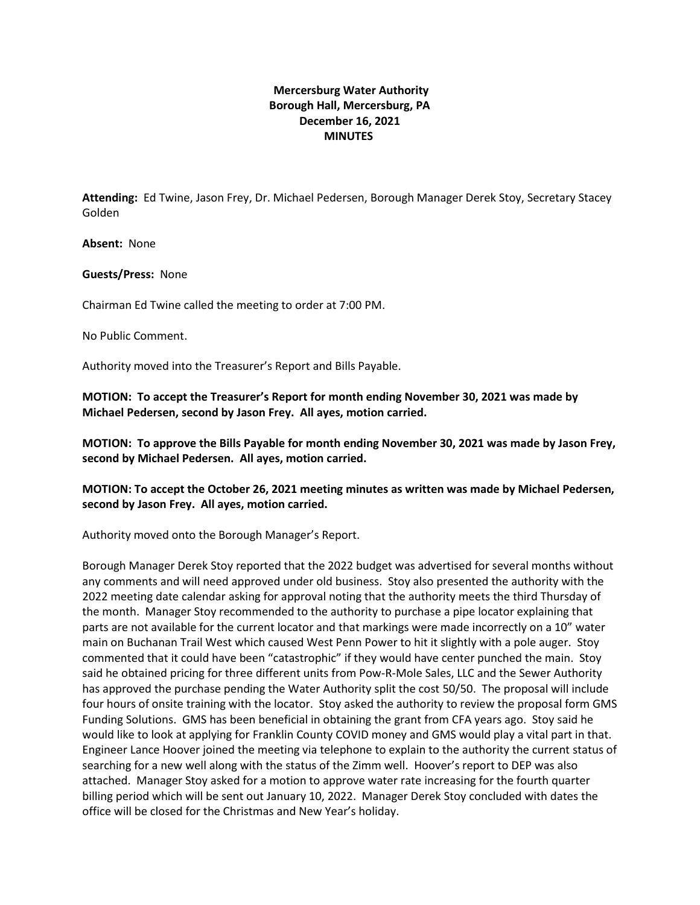## **Mercersburg Water Authority Borough Hall, Mercersburg, PA December 16, 2021 MINUTES**

**Attending:** Ed Twine, Jason Frey, Dr. Michael Pedersen, Borough Manager Derek Stoy, Secretary Stacey Golden

**Absent:** None

**Guests/Press:** None

Chairman Ed Twine called the meeting to order at 7:00 PM.

No Public Comment.

Authority moved into the Treasurer's Report and Bills Payable.

**MOTION: To accept the Treasurer's Report for month ending November 30, 2021 was made by Michael Pedersen, second by Jason Frey. All ayes, motion carried.**

**MOTION: To approve the Bills Payable for month ending November 30, 2021 was made by Jason Frey, second by Michael Pedersen. All ayes, motion carried.**

**MOTION: To accept the October 26, 2021 meeting minutes as written was made by Michael Pedersen, second by Jason Frey. All ayes, motion carried.**

Authority moved onto the Borough Manager's Report.

Borough Manager Derek Stoy reported that the 2022 budget was advertised for several months without any comments and will need approved under old business. Stoy also presented the authority with the 2022 meeting date calendar asking for approval noting that the authority meets the third Thursday of the month. Manager Stoy recommended to the authority to purchase a pipe locator explaining that parts are not available for the current locator and that markings were made incorrectly on a 10" water main on Buchanan Trail West which caused West Penn Power to hit it slightly with a pole auger. Stoy commented that it could have been "catastrophic" if they would have center punched the main. Stoy said he obtained pricing for three different units from Pow-R-Mole Sales, LLC and the Sewer Authority has approved the purchase pending the Water Authority split the cost 50/50. The proposal will include four hours of onsite training with the locator. Stoy asked the authority to review the proposal form GMS Funding Solutions. GMS has been beneficial in obtaining the grant from CFA years ago. Stoy said he would like to look at applying for Franklin County COVID money and GMS would play a vital part in that. Engineer Lance Hoover joined the meeting via telephone to explain to the authority the current status of searching for a new well along with the status of the Zimm well. Hoover's report to DEP was also attached. Manager Stoy asked for a motion to approve water rate increasing for the fourth quarter billing period which will be sent out January 10, 2022. Manager Derek Stoy concluded with dates the office will be closed for the Christmas and New Year's holiday.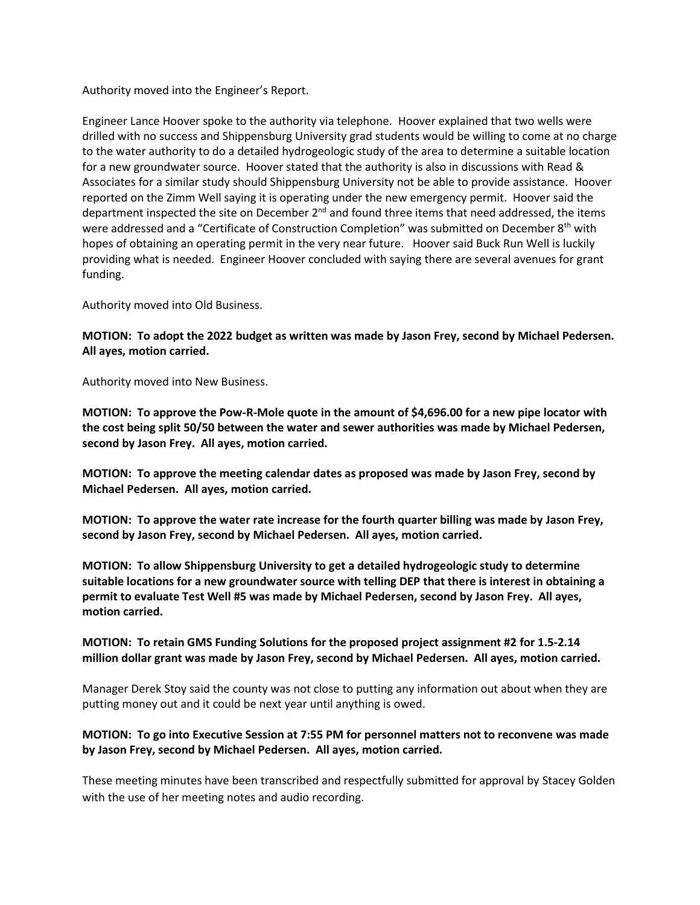Authority moved into the Engineer's Report.

Engineer Lance Hoover spoke to the authority via telephone. Hoover explained that two wells were drilled with no success and Shippensburg University grad students would be willing to come at no charge to the water authority to do a detailed hydrogeologic study of the area to determine a suitable location for a new groundwater source. Hoover stated that the authority is also in discussions with Read & Associates for a similar study should Shippensburg University not be able to provide assistance. Hoover reported on the Zimm Well saying it is operating under the new emergency permit. Hoover said the department inspected the site on December  $2<sup>nd</sup>$  and found three items that need addressed, the items were addressed and a "Certificate of Construction Completion" was submitted on December 8<sup>th</sup> with hopes of obtaining an operating permit in the very near future. Hoover said Buck Run Well is luckily providing what is needed. Engineer Hoover concluded with saying there are several avenues for grant funding.

Authority moved into Old Business.

**MOTION: To adopt the 2022 budget as written was made by Jason Frey, second by Michael Pedersen. All ayes, motion carried.**

Authority moved into New Business.

**MOTION: To approve the Pow-R-Mole quote in the amount of \$4,696.00 for a new pipe locator with the cost being split 50/50 between the water and sewer authorities was made by Michael Pedersen, second by Jason Frey. All ayes, motion carried.** 

**MOTION: To approve the meeting calendar dates as proposed was made by Jason Frey, second by Michael Pedersen. All ayes, motion carried.** 

**MOTION: To approve the water rate increase for the fourth quarter billing was made by Jason Frey, second by Jason Frey, second by Michael Pedersen. All ayes, motion carried.**

**MOTION: To allow Shippensburg University to get a detailed hydrogeologic study to determine suitable locations for a new groundwater source with telling DEP that there is interest in obtaining a permit to evaluate Test Well #5 was made by Michael Pedersen, second by Jason Frey. All ayes, motion carried.** 

## **MOTION: To retain GMS Funding Solutions for the proposed project assignment #2 for 1.5-2.14 million dollar grant was made by Jason Frey, second by Michael Pedersen. All ayes, motion carried.**

Manager Derek Stoy said the county was not close to putting any information out about when they are putting money out and it could be next year until anything is owed.

## **MOTION: To go into Executive Session at 7:55 PM for personnel matters not to reconvene was made by Jason Frey, second by Michael Pedersen. All ayes, motion carried.**

These meeting minutes have been transcribed and respectfully submitted for approval by Stacey Golden with the use of her meeting notes and audio recording.